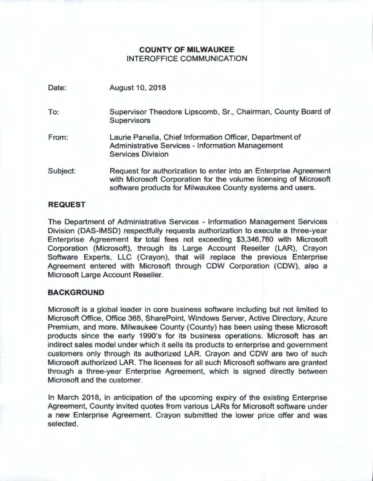# **COUNTY OF MILWAUKEE**  INTEROFFICE **COMMUNICATION**

| Date:    | <b>August 10, 2018</b>                                                                                                                                                                           |  |
|----------|--------------------------------------------------------------------------------------------------------------------------------------------------------------------------------------------------|--|
| To:      | Supervisor Theodore Lipscomb, Sr., Chairman, County Board of<br><b>Supervisors</b>                                                                                                               |  |
| From:    | Laurie Panella, Chief Information Officer, Department of<br><b>Administrative Services - Information Management</b><br><b>Services Division</b>                                                  |  |
| Subject: | Request for authorization to enter into an Enterprise Agreement<br>with Microsoft Corporation for the volume licensing of Microsoft<br>software products for Milwaukee County systems and users. |  |

# **REQUEST**

The Department of Administrative Services - Information Management Services Division (DAS-IMSD) respectfully requests authorization to execute a three-year Enterprise Agreement for total fees not exceeding \$3,346,760 with Microsoft Corporation (Microsoft), through its Large Account Reseller (LAR), Crayon Software Experts, LLC (Crayon), that will replace the previous Enterprise Agreement entered with Microsoft through CDW Corporation (CDW), also a Microsoft Large Account Reseller.

### **BACKGROUND**

Microsoft is a global leader in core business software including but not limited to Microsoft Office, Office 365, SharePoint, Windows Server, Active Directory, Azure Premium, and more. Milwaukee County (County) has been using these Microsoft products since the early 1990's for its business operations. Microsoft has an indirect sales model under which it sells its products to enterprise and government customers only through its authorized LAR. Crayon and CDW are two of such Microsoft authorized LAR. The licenses for all such Microsoft software are granted through a three-year Enterprise Agreement, which is signed directly between Microsoft and the customer.

In March 2018, in anticipation of the upcoming expiry of the existing Enterprise Agreement, County invited quotes from various LARs for Microsoft software under a new Enterprise Agreement. Crayon submitted the lower price offer and was selected.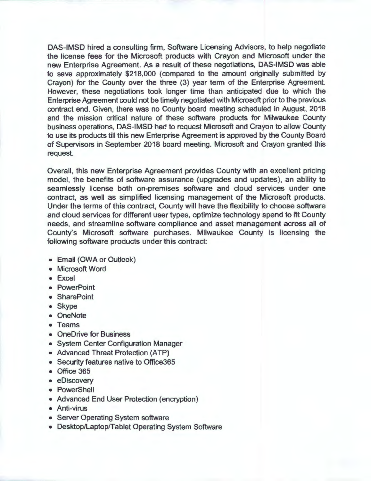DAS-IMSD hired a consulting firm, Software Licensing Advisors, to help negotiate the license fees for the Microsoft products with Crayon and Microsoft under the new Enterprise Agreement. As a result of these negotiations, DAS-IMSD was able to save approximately \$218,000 (compared to the amount originally submitted by Crayon) for the County over the three (3) year term of the Enterprise Agreement. However, these negotiations took longer time than anticipated due to which the Enterprise Agreement could not be timely negotiated with Microsoft prior to the previous contract end. Given, there was no County board meeting scheduled in August, 2018 and the mission critical nature of these software products for Milwaukee County business operations, DAS-IMSD had to request Microsoft and Crayon to allow County to use its products till this new Enterprise Agreement is approved by the County Board of Supervisors in September 2018 board meeting. Microsoft and Crayon granted this request.

Overall, this new Enterprise Agreement provides County with an excellent pricing model, the benefits of software assurance (upgrades and updates), an ability to seamlessly license both on-premises software and cloud services under one contract, as well as simplified licensing management of the Microsoft products. Under the terms of this contract, County will have the flexibility to choose software and cloud services for different user types, optimize technology spend to fit County needs, and streamline software compliance and asset management across all of County's Microsoft software purchases. Milwaukee County is licensing the following software products under this contract:

- Email (OWA or Outlook)
- Microsoft Word
- Excel
- PowerPoint
- SharePoint
- Skype
- OneNote
- Teams
- OneDrive for Business
- System Center Configuration Manager
- Advanced Threat Protection (ATP)
- Security features native to Office365
- Office 365
- eDiscovery
- PowerShell
- Advanced End User Protection (encryption)
- Anti-virus
- Server Operating System software
- Desktop/Laptop/Tablet Operating System Software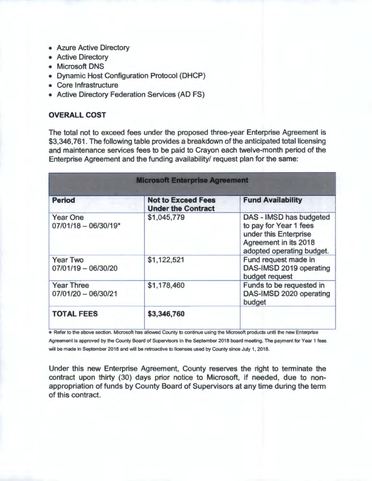- Azure Active Directory
- Active Directory
- Microsoft DNS
- Dynamic Host Configuration Protocol (DHCP)
- Core Infrastructure
- Active Directory Federation Services (AD FS)

# **OVERALL COST**

The total not to exceed fees under the proposed three-year Enterprise Agreement is \$3,346,761. The following table provides a breakdown of the anticipated total licensing and maintenance services fees to be paid to Crayon each twelve-month period of the Enterprise Agreement and the funding availability/ request plan for the same:

| <b>Microsoft Enterprise Agreement</b>      |                                                        |                                                                                                                                  |  |
|--------------------------------------------|--------------------------------------------------------|----------------------------------------------------------------------------------------------------------------------------------|--|
| <b>Period</b>                              | <b>Not to Exceed Fees</b><br><b>Under the Contract</b> | <b>Fund Availability</b>                                                                                                         |  |
| <b>Year One</b><br>$07/01/18 - 06/30/19*$  | \$1,045,779                                            | DAS - IMSD has budgeted<br>to pay for Year 1 fees<br>under this Enterprise<br>Agreement in its 2018<br>adopted operating budget. |  |
| <b>Year Two</b><br>$07/01/19 - 06/30/20$   | \$1,122,521                                            | Fund request made in<br>DAS-IMSD 2019 operating<br>budget request                                                                |  |
| <b>Year Three</b><br>$07/01/20 - 06/30/21$ | \$1,178,460                                            | Funds to be requested in<br>DAS-IMSD 2020 operating<br>budget                                                                    |  |
| <b>TOTAL FEES</b>                          | \$3,346,760                                            |                                                                                                                                  |  |

\* Refer to the above section. Microsoft has allowed County to continue using the Microsoft products until the new Enterprise Agreement is approved by the County Board of Supervisors in the September 2018 board meeting. The payment for Year 1 fees will be made in September 2018 and will be retroactive to licenses used by County since July 1, 2018.

Under this new Enterprise Agreement, County reserves the right to terminate the contract upon thirty (30) days prior notice to Microsoft, if needed, due to nonappropriation of funds by County Board of Supervisors at any time during the term of this contract.